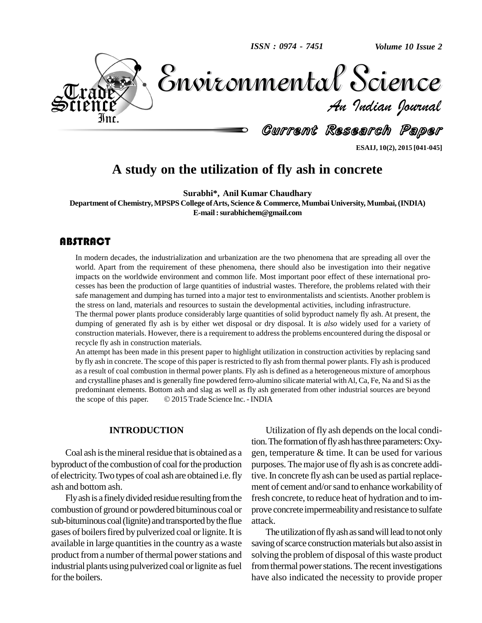

**ESAIJ, 10(2), 2015 [041-045]**

# **A study on the utilization of fly ash in concrete**

**Surabhi\*, Anil Kumar Chaudhary**

**Department of Chemistry,MPSPS College ofArts, Science & Commerce, MumbaiUniversity, Mumbai,(INDIA) E-mail:[surabhichem@gmail.com](mailto:surabhichem@gmail.com)**

#### **ABSTRACT**

In modern decades, the world. Apart from the r<br>impacts on the worldwide In modern decades, the industrialization and urbanization are the two phenomena that are spreading all over the world. Apart from the requirement of these phenomena, there should also be investigation into their negative impacts on the worldwide environment and common life.Most important poor effect of these international pro cesses has been the production of large quantities of industrial wastes. Therefore, the problems related with their safe management and dumping has turned into a major test to environmentalists and scientists. Another problem is the stress on land, materials and resources to sustain the developmental activities, including infrastructure.

The thermal power plants produce considerably large quantities of solid byproduct namely fly ash.At present, the dumping of generated fly ash is by either wet disposal or dry disposal. It is *also* widely used for a variety of construction materials. However, there is a requirement to address the problems encountered during the disposal or recycle fly ash in construction materials.

An attempt has been made in this present paper to highlight utilization in construction activities by replacing sand by fly ash in concrete. The scope of this paper is restricted to fly ash from thermal power plants. Fly ash is produced as a result of coal combustion in thermal power plants. Fly ash is defined as a heterogeneous mixture of amorphous and crystalline phases and is generally fine powdered ferro-alumino silicate material with Al, Ca, Fe, Na and Si as the predominant elements. Bottom ash and slag as well as fly ash generated from other industrial sources a predominant elements. Bottom ash and slag as well as fly ash generated from other industrial sources are beyond

#### **INTRODUCTION**

Coal ash is the mineral residue that is obtained as a byproduct of the combustion of coal for the production of electricity.Two types of coal ash are obtained i.e.fly ash and bottom ash.

Fly ash is a finely divided residue resulting from the combustion of ground or powdered bituminous coal or sub-bituminous coal (lignite) and transported by the flue gases of boilers fired by pulverized coal or lignite. It is available in large quantities in the country as a waste product from a number of thermal power stations and industrial plants using pulverized coal or lignite as fuel for the boilers.

Utilization of fly ash depends on the local condition. The formation of fly ash has three parameters: Oxygen, temperature & time. It can be used for various purposes. The major use of fly ash is as concrete additive. In concrete fly ash can be used as partial replacement of cement and/orsand to enhance workability of fresh concrete, to reduce heat of hydration and to im prove concrete impermeabilityand resistance to sulfate attack.

The utilization of fly ash as sand will lead to not only saving of scarce construction materials but also assist in solving the problem of disposal of this waste product from thermal power stations. The recent investigations have also indicated the necessity to provide proper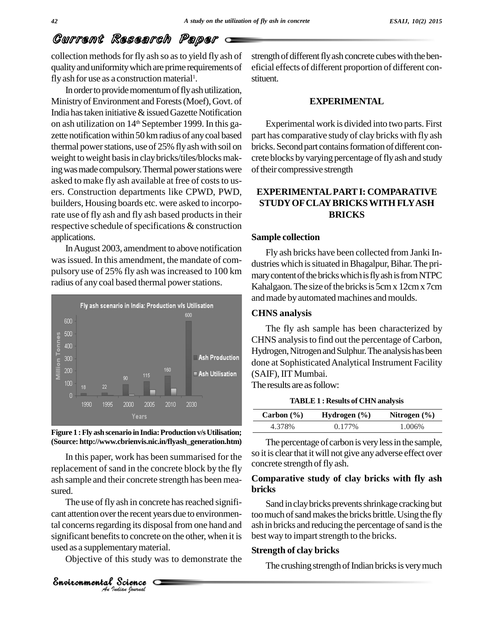# Current Research Paper

collection methods for fly ash so as to yield fly ash of qualityanduniformitywhich are prime requirements of fly ash for use as a construction material<sup>1</sup>.

In order to provide momentum of fly ash utilization, MinistryofEnvironment and Forests(Moef),Govt. of India has taken initiative  $&$  issued Gazette Notification on ash utilization on 14 th September 1999. In this ga zette notification within 50 km radius of any coal based thermal power stations, use of 25% fly ash with soil on weight to weight basis in clay bricks/tiles/blocks making was made compulsory. Thermal power stations were asked to make fly ash available at free of costs to users. Construction departments like CPWD, PWD, builders, Housing boards etc. were asked to incorporate use of fly ash and fly ash based products in their respective schedule of specifications & construction applications.

InAugust 2003, amendment to above notification was issued. In this amendment, the mandate of compulsory use of 25% fly ash wasincreased to 100 km radius of any coal based thermal power stations.





In this paper, work has been summarised for the replacement of sand in the concrete block by the fly ash sample and their concrete strength has been mea sured.

*An Analysis al concerns regarding its disposarignificant benefits to concrete or used as a supplementary material.*<br> *Analysis of this study was*<br> *Analysis Snottonmental Science* The use of fly ash in concrete has reached significant attention over the recent years due to environmental concerns regarding its disposal from one hand and ash in b significant benefits to concrete on the other, when it is used as a supplementarymaterial.

Objective of this study was to demonstrate the

strength of different fly ash concrete cubes with the beneficial effects of different proportion of different con stituent.

#### **EXPERIMENTAL**

Experimental work is divided into two parts. First part has comparative study of clay bricks with fly ash bricks. Second part contains formation of different concrete blocks by varying percentage of fly ash and study of their compressive strength

#### **EXPERIMENTALPARTI: COMPARATIVE STUDYOFCLAYBRICKSWITH FLYASH BRICKS**

#### **Sample collection**

Fly ash bricks have been collected from Janki In dustries which is situated in Bhagalpur, Bihar. The primary content of the bricks which is fly ash is from NTPC Kahalgaon. The size of the bricks is 5cm x 12cm x 7cm and made by automated machines and moulds.

#### **CHNS analysis**

The fly ash sample has been characterized by CHNS analysisto find out the percentage of Carbon, Hydrogen, Nitrogen and Sulphur. The analysis has been done at Sophisticated Analytical Instrument Facility (SAIF), IIT Mumbai.

The results are as follow:

**TABLE 1 : Results of CHN analysis**

| Carbon $(\% )$ | Hydrogen $(\% )$ | Nitrogen $(\% )$ |
|----------------|------------------|------------------|
| 4.378%         | $0.177\%$        | 1.006%           |

The percentage of carbon is very less in the sample, so it is clear that it will not give any adverse effect over concrete strength of fly ash.

#### **Comparative study ofclay bricks with fly ash bricks**

Sand in clay bricks prevents shrinkage cracking but too much of sand makes the bricks brittle. Using the fly ash in bricks and reducing the percentage of sand is the best way to impart strength to the bricks.

#### **Strength of clay bricks**

The crushing strength of Indian bricks is very much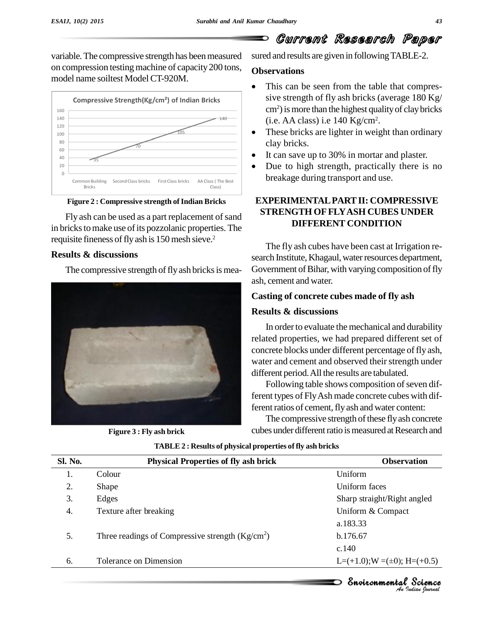# Current Research Paper

variable. The compressive strength has been measured on compression testing machine of capacity 200 tons, model name soiltest Model CT-920M.



#### **Figure 2 : Compressive strength of Indian Bricks**

Fly ash can be used as a part replacement of sand in bricks to make use of its pozzolanic properties. The requisite fineness of fly ash is 150 mesh sieve.<sup>2</sup>

#### **Results & discussions**

The compressive strength of fly ash bricks is mea-



**Figure 3 : Fly ash brick**

sured and results are given in following TABLE-2.

#### **Observations**

- This can be seen from the table that compres-  $\bullet$ sive strength of fly ash bricks (average 180 Kg/ cm<sup>2</sup>) is more than the highest quality of clay bricks<br>(i.e. AA class) i.e 140 Kg/cm<sup>2</sup>.  $(i.e. AA class)$  i.e 140 Kg/cm<sup>2</sup>.
- These bricks are lighter in weight than ordinary clay bricks. It can save up to 30% in mortar and plaster.
- 
- Due to high strength, practically there is no breakage during transport and use.

### **EXPERIMENTALPARTII: COMPRESSIVE STRENGTH OFFLYASH CUBES UNDER DIFFERENT CONDITION**

The fly ash cubes have been cast at Irrigation re search Institute, Khagaul, water resources department, Government of Bihar, with varying composition of fly ash, cement and water.

#### **Casting of concrete cubes made of fly ash**

#### **Results & discussions**

In order to evaluate the mechanical and durability related properties, we had prepared different set of concrete blocks under different percentage of fly ash, water and cement and observed their strength under different period.All the results are tabulated.

Following table shows composition of seven different types of FlyAsh made concrete cubes with different ratios of cement, fly ash and water content:

The compressive strength of these fly ash concrete cubes under different ratio is measured at Research and

| <b>Sl. No.</b> | <b>Physical Properties of fly ash brick</b>       | <b>Observation</b>                  |
|----------------|---------------------------------------------------|-------------------------------------|
| 1.             | Colour                                            | Uniform                             |
| 2.             | Shape                                             | Uniform faces                       |
| 3.             | Edges                                             | Sharp straight/Right angled         |
| 4.             | Texture after breaking                            | Uniform & Compact                   |
|                |                                                   | a.183.33                            |
| 5.             | Three readings of Compressive strength $(Kg/cm2)$ | b.176.67                            |
|                |                                                   | c.140                               |
| 6.             | Tolerance on Dimension                            | $L=(+1.0);$ W =( $\pm$ 0); H=(+0.5) |

**TABLE 2 : Results of physical properties of fly ash bricks**

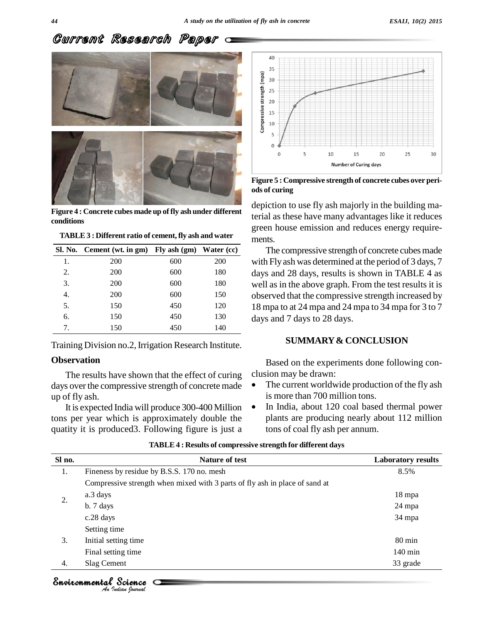## Current Research Paper



**Figure 4 : Concrete cubes made up offly ash under different conditions**

| TABLE 3 : Different ratio of cement, fly ash and water |  |
|--------------------------------------------------------|--|
|                                                        |  |

|    | Sl. No. Cement (wt. in gm) Fly ash (gm) Water (cc) |     |            |                |
|----|----------------------------------------------------|-----|------------|----------------|
| 1. | 200                                                | 600 | <b>200</b> | v              |
| 2. | 200                                                | 600 | 180        | d              |
| 3. | 200                                                | 600 | 180        | $\mathbf W$    |
| 4. | 200                                                | 600 | 150        | $\overline{o}$ |
| 5. | 150                                                | 450 | 120        | 1              |
| 6. | 150                                                | 450 | 130        | d              |
| 7. | 150                                                | 450 | 140        |                |

Training Division no.2, Irrigation Research Institute.

#### **Observation**

The results have shown that the effect of curing clusion may be drawn: days over the compressive strength of concrete made <br>is more than 700 million tons. up of fly ash.

It is expected India will produce 300-400 Million tons per year which is approximately double the quatity it is produced3. Following figure is just a



**Figure 5 : Compressive strength of concrete cubes over peri ods of curing**

depiction to use fly ash majorly in the building material as these have many advantages like it reduces green house emission and reduces energy require ments.

The compressive strength of concrete cubes made with Fly ash was determined at the period of 3 days, 7 days and 28 days, results is shown in TABLE 4 as well as in the above graph. From the test results it is observed that the compressive strength increased by 18 mpa to at 24 mpa and 24 mpa to 34 mpa for 3 to 7 days and 7 days to 28 days.

#### **SUMMARY& CONCLUSION**

Based on the experiments done following con-<br>clusion may be drawn:

- The current worldwide production of the fly ash is more than <sup>700</sup> million tons.
- In India, about 120 coal based thermal power plants are producing nearly about 112 million tons of coal fly ash per annum.

| Sl no. | <b>Nature of test</b>                                                       | <b>Laboratory results</b> |
|--------|-----------------------------------------------------------------------------|---------------------------|
| 1.     | Fineness by residue by B.S.S. 170 no. mesh                                  | 8.5%                      |
|        | Compressive strength when mixed with 3 parts of fly ash in place of sand at |                           |
|        | a.3 days                                                                    | 18 mpa                    |
| 2.     | $b.7$ days                                                                  | 24 mpa                    |
|        | c.28 days                                                                   | 34 mpa                    |
|        | Setting time                                                                |                           |
| 3.     | Initial setting time                                                        | 80 min                    |
|        | Final setting time                                                          | $140 \text{ min}$         |
| 4.     | Slag Cement                                                                 | 33 grade                  |

**TABLE4 : Results of compressive strength for different days**